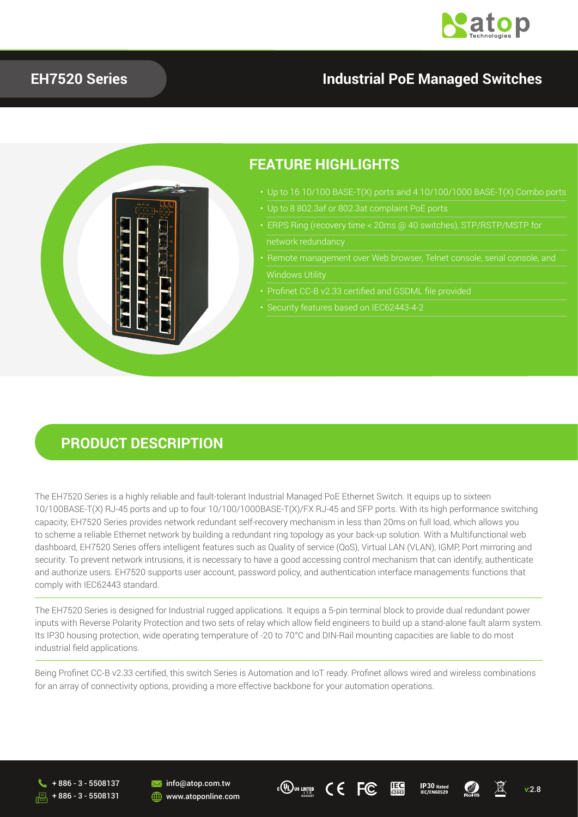

### **EH7520 Series Industrial PoE Managed Switches**



#### **PRODUCT DESCRIPTION**

The EH7520 Series is a highly reliable and fault-tolerant Industrial Managed PoE Ethernet Switch. It equips up to sixteen 10/100BASE-T(X) RJ-45 ports and up to four 10/100/1000BASE-T(X)/FX RJ-45 and SFP ports. With its high performance switching capacity, EH7520 Series provides network redundant self-recovery mechanism in less than 20ms on full load, which allows you to scheme a reliable Ethernet network by building a redundant ring topology as your back-up solution. With a Multifunctional web dashboard, EH7520 Series offers intelligent features such as Quality of service (QoS), Virtual LAN (VLAN), IGMP, Port mirroring and security. To prevent network intrusions, it is necessary to have a good accessing control mechanism that can identify, authenticate and authorize users. EH7520 supports user account, password policy, and authentication interface managements functions that comply with IEC62443 standard.

The EH7520 Series is designed for Industrial rugged applications. It equips a 5-pin terminal block to provide dual redundant power inputs with Reverse Polarity Protection and two sets of relay which allow field engineers to build up a stand-alone fault alarm system. Its IP30 housing protection, wide operating temperature of -20 to 70°C and DIN-Rail mounting capacities are liable to do most industrial field applications.

Being Profinet CC-B v2.33 certified, this switch Series is Automation and IoT ready. Profinet allows wired and wireless combinations for an array of connectivity options, providing a more effective backbone for your automation operations.









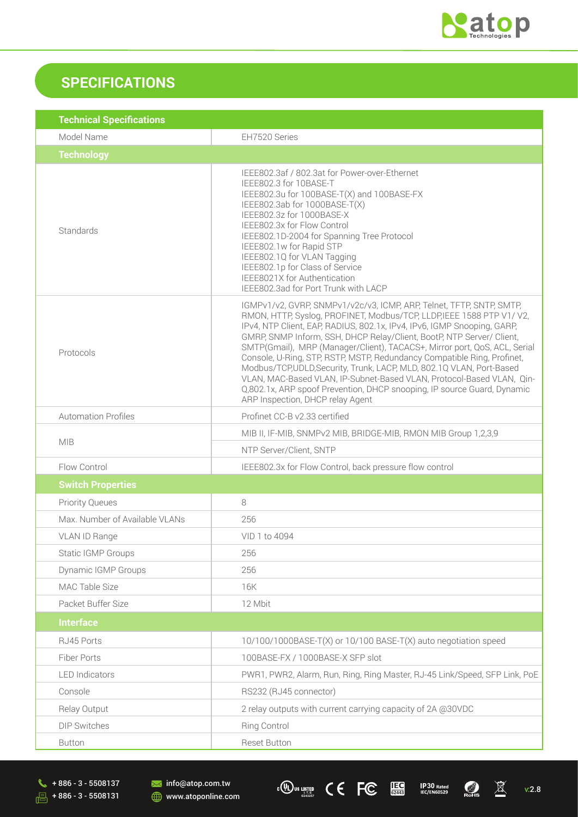

## **SPECIFICATIONS**

| <b>Technical Specifications</b> |                                                                                                                                                                                                                                                                                                                                                                                                                                                                                                                                                                                                                                                                                                                         |
|---------------------------------|-------------------------------------------------------------------------------------------------------------------------------------------------------------------------------------------------------------------------------------------------------------------------------------------------------------------------------------------------------------------------------------------------------------------------------------------------------------------------------------------------------------------------------------------------------------------------------------------------------------------------------------------------------------------------------------------------------------------------|
| Model Name                      | EH7520 Series                                                                                                                                                                                                                                                                                                                                                                                                                                                                                                                                                                                                                                                                                                           |
| <b>Technology</b>               |                                                                                                                                                                                                                                                                                                                                                                                                                                                                                                                                                                                                                                                                                                                         |
| Standards                       | IEEE802.3af / 802.3at for Power-over-Ethernet<br>IEEE802.3 for 10BASE-T<br>IEEE802.3u for 100BASE-T(X) and 100BASE-FX<br>IEEE802.3ab for 1000BASE-T(X)<br>IEEE802.3z for 1000BASE-X<br>IEEE802.3x for Flow Control<br>IEEE802.1D-2004 for Spanning Tree Protocol<br>IEEE802.1w for Rapid STP<br>IEEE802.1Q for VLAN Tagging<br>IEEE802.1p for Class of Service<br>IEEE8021X for Authentication<br>IEEE802.3ad for Port Trunk with LACP                                                                                                                                                                                                                                                                                  |
| Protocols                       | IGMPv1/v2, GVRP, SNMPv1/v2c/v3, ICMP, ARP, Telnet, TFTP, SNTP, SMTP,<br>RMON, HTTP, Syslog, PROFINET, Modbus/TCP, LLDP, IEEE 1588 PTP V1/V2,<br>IPv4, NTP Client, EAP, RADIUS, 802.1x, IPv4, IPv6, IGMP Snooping, GARP,<br>GMRP, SNMP Inform, SSH, DHCP Relay/Client, BootP, NTP Server/ Client,<br>SMTP(Gmail), MRP (Manager/Client), TACACS+, Mirror port, QoS, ACL, Serial<br>Console, U-Ring, STP, RSTP, MSTP, Redundancy Compatible Ring, Profinet,<br>Modbus/TCP,UDLD,Security, Trunk, LACP, MLD, 802.1Q VLAN, Port-Based<br>VLAN, MAC-Based VLAN, IP-Subnet-Based VLAN, Protocol-Based VLAN, Qin-<br>Q,802.1x, ARP spoof Prevention, DHCP snooping, IP source Guard, Dynamic<br>ARP Inspection, DHCP relay Agent |
| <b>Automation Profiles</b>      | Profinet CC-B v2.33 certified                                                                                                                                                                                                                                                                                                                                                                                                                                                                                                                                                                                                                                                                                           |
|                                 | MIB II, IF-MIB, SNMPv2 MIB, BRIDGE-MIB, RMON MIB Group 1,2,3,9                                                                                                                                                                                                                                                                                                                                                                                                                                                                                                                                                                                                                                                          |
| <b>MIB</b>                      | NTP Server/Client, SNTP                                                                                                                                                                                                                                                                                                                                                                                                                                                                                                                                                                                                                                                                                                 |
| Flow Control                    | IEEE802.3x for Flow Control, back pressure flow control                                                                                                                                                                                                                                                                                                                                                                                                                                                                                                                                                                                                                                                                 |
| <b>Switch Properties</b>        |                                                                                                                                                                                                                                                                                                                                                                                                                                                                                                                                                                                                                                                                                                                         |
| <b>Priority Queues</b>          | 8                                                                                                                                                                                                                                                                                                                                                                                                                                                                                                                                                                                                                                                                                                                       |
| Max. Number of Available VLANs  | 256                                                                                                                                                                                                                                                                                                                                                                                                                                                                                                                                                                                                                                                                                                                     |
| VLAN ID Range                   | VID 1 to 4094                                                                                                                                                                                                                                                                                                                                                                                                                                                                                                                                                                                                                                                                                                           |
| <b>Static IGMP Groups</b>       | 256                                                                                                                                                                                                                                                                                                                                                                                                                                                                                                                                                                                                                                                                                                                     |
| Dynamic IGMP Groups             | 256                                                                                                                                                                                                                                                                                                                                                                                                                                                                                                                                                                                                                                                                                                                     |
| MAC Table Size                  | 16K                                                                                                                                                                                                                                                                                                                                                                                                                                                                                                                                                                                                                                                                                                                     |
| Packet Buffer Size              | 12 Mbit                                                                                                                                                                                                                                                                                                                                                                                                                                                                                                                                                                                                                                                                                                                 |
| <b>Interface</b>                |                                                                                                                                                                                                                                                                                                                                                                                                                                                                                                                                                                                                                                                                                                                         |
| RJ45 Ports                      | 10/100/1000BASE-T(X) or 10/100 BASE-T(X) auto negotiation speed                                                                                                                                                                                                                                                                                                                                                                                                                                                                                                                                                                                                                                                         |
| Fiber Ports                     | 100BASE-FX / 1000BASE-X SFP slot                                                                                                                                                                                                                                                                                                                                                                                                                                                                                                                                                                                                                                                                                        |
| <b>LED</b> Indicators           | PWR1, PWR2, Alarm, Run, Ring, Ring Master, RJ-45 Link/Speed, SFP Link, PoE                                                                                                                                                                                                                                                                                                                                                                                                                                                                                                                                                                                                                                              |
| Console                         | RS232 (RJ45 connector)                                                                                                                                                                                                                                                                                                                                                                                                                                                                                                                                                                                                                                                                                                  |
| Relay Output                    | 2 relay outputs with current carrying capacity of 2A @30VDC                                                                                                                                                                                                                                                                                                                                                                                                                                                                                                                                                                                                                                                             |
| <b>DIP Switches</b>             | Ring Control                                                                                                                                                                                                                                                                                                                                                                                                                                                                                                                                                                                                                                                                                                            |
| <b>Button</b>                   | <b>Reset Button</b>                                                                                                                                                                                                                                                                                                                                                                                                                                                                                                                                                                                                                                                                                                     |

**USTED C C FC IEC** IP30 Rated **C X** V:2.8

**IEC 62443**

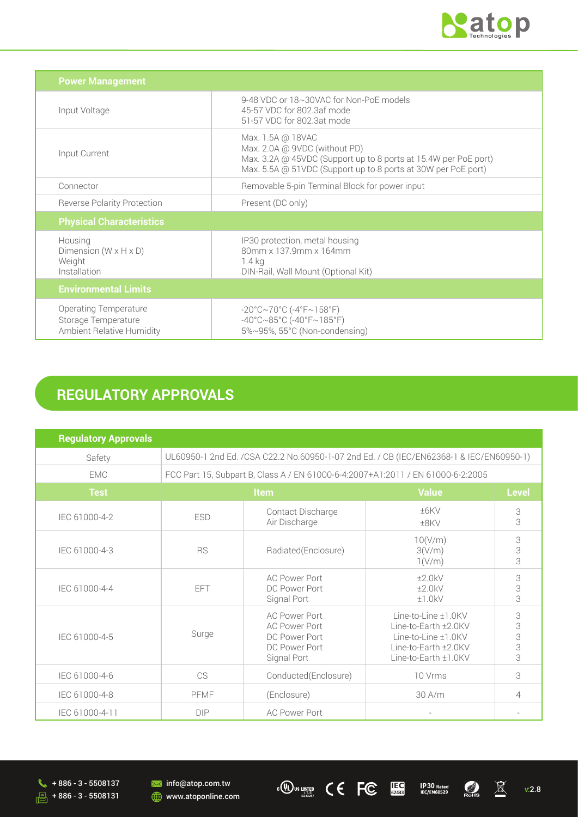

| <b>Power Management</b>                                                                 |                                                                                                                                                                                        |  |
|-----------------------------------------------------------------------------------------|----------------------------------------------------------------------------------------------------------------------------------------------------------------------------------------|--|
| Input Voltage                                                                           | 9-48 VDC or 18~30VAC for Non-PoE models<br>45-57 VDC for 802.3af mode<br>51-57 VDC for 802.3at mode                                                                                    |  |
| Input Current                                                                           | Max. 1.5A @ 18VAC<br>Max. 2.0A @ 9VDC (without PD)<br>Max. 3.2A @ 45VDC (Support up to 8 ports at 15.4W per PoE port)<br>Max. 5.5A @ 51VDC (Support up to 8 ports at 30W per PoE port) |  |
| Connector                                                                               | Removable 5-pin Terminal Block for power input                                                                                                                                         |  |
| <b>Reverse Polarity Protection</b>                                                      | Present (DC only)                                                                                                                                                                      |  |
| <b>Physical Characteristics</b>                                                         |                                                                                                                                                                                        |  |
| Housing<br>Dimension ( $W \times H \times D$ )<br>Weight<br>Installation                | IP30 protection, metal housing<br>80mm x 137.9mm x 164mm<br>1.4 kg<br>DIN-Rail, Wall Mount (Optional Kit)                                                                              |  |
| <b>Environmental Limits</b>                                                             |                                                                                                                                                                                        |  |
| <b>Operating Temperature</b><br>Storage Temperature<br><b>Ambient Relative Humidity</b> | $-20^{\circ}$ C $\sim$ 70°C (-4°F $\sim$ 158°F)<br>$-40^{\circ}$ C $\sim$ 85°C (-40°F $\sim$ 185°F)<br>5%~95%, 55°C (Non-condensing)                                                   |  |

# **REGULATORY APPROVALS**

| <b>Regulatory Approvals</b> |                                                                                         |                                                                                               |                                                                                                                       |                         |
|-----------------------------|-----------------------------------------------------------------------------------------|-----------------------------------------------------------------------------------------------|-----------------------------------------------------------------------------------------------------------------------|-------------------------|
| Safety                      | UL60950-1 2nd Ed. /CSA C22.2 No.60950-1-07 2nd Ed. / CB (IEC/EN62368-1 & IEC/EN60950-1) |                                                                                               |                                                                                                                       |                         |
| <b>EMC</b>                  | FCC Part 15, Subpart B, Class A / EN 61000-6-4:2007+A1:2011 / EN 61000-6-2:2005         |                                                                                               |                                                                                                                       |                         |
| <b>Test</b>                 | Item                                                                                    |                                                                                               | <b>Value</b>                                                                                                          | <b>Level</b>            |
| IEC 61000-4-2               | <b>ESD</b>                                                                              | Contact Discharge<br>Air Discharge                                                            | ±6KV<br>±8KV                                                                                                          | 3<br>3                  |
| IEC 61000-4-3               | <b>RS</b>                                                                               | Radiated(Enclosure)                                                                           | 10(V/m)<br>3(V/m)<br>1(V/m)                                                                                           | 3<br>3                  |
| IEC 61000-4-4               | EFT                                                                                     | <b>AC Power Port</b><br>DC Power Port<br>Signal Port                                          | ±2.0kV<br>±2.0kV<br>±1.0kV                                                                                            | 3<br>3<br>3             |
| IEC 61000-4-5               | Surge                                                                                   | <b>AC Power Port</b><br><b>AC Power Port</b><br>DC Power Port<br>DC Power Port<br>Signal Port | Line-to-Line ±1.0KV<br>Line-to-Earth $±2.0$ KV<br>Line-to-Line ±1.0KV<br>Line-to-Earth ±2.0KV<br>Line-to-Earth ±1.0KV | 3<br>3<br>$\frac{3}{3}$ |
| IEC 61000-4-6               | CS                                                                                      | Conducted(Enclosure)                                                                          | 10 Vrms                                                                                                               | 3                       |
| IEC 61000-4-8               | PFMF                                                                                    | (Enclosure)                                                                                   | 30 A/m                                                                                                                | 4                       |
| IEC 61000-4-11              | <b>DIP</b>                                                                              | <b>AC Power Port</b>                                                                          | $\overline{\phantom{a}}$                                                                                              |                         |



**USTED C C FC IEC** IP30 Rated **C X** V:2.8



**IEC 62443**